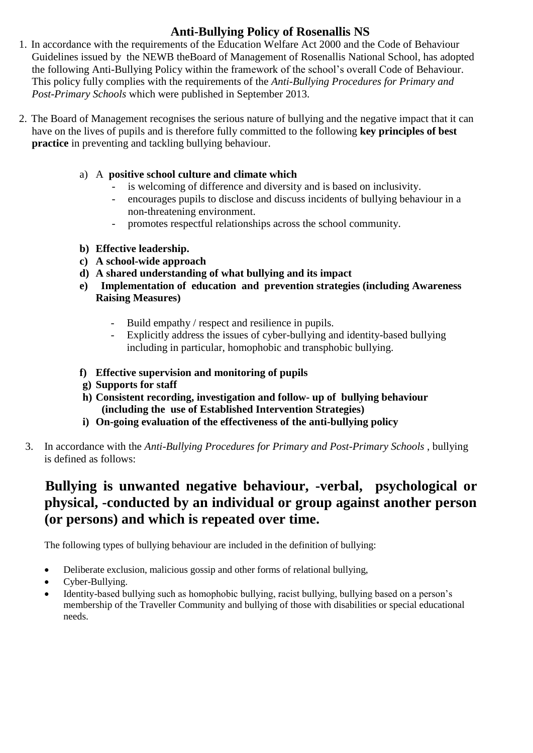## **Anti-Bullying Policy of Rosenallis NS**

- 1. In accordance with the requirements of the Education Welfare Act 2000 and the Code of Behaviour Guidelines issued by the NEWB theBoard of Management of Rosenallis National School, has adopted the following Anti-Bullying Policy within the framework of the school's overall Code of Behaviour. This policy fully complies with the requirements of the *Anti-Bullying Procedures for Primary and Post-Primary Schools* which were published in September 2013.
- 2. The Board of Management recognises the serious nature of bullying and the negative impact that it can have on the lives of pupils and is therefore fully committed to the following **key principles of best practice** in preventing and tackling bullying behaviour.
	- a) A **positive school culture and climate which**
		- is welcoming of difference and diversity and is based on inclusivity.
		- encourages pupils to disclose and discuss incidents of bullying behaviour in a non-threatening environment.
		- promotes respectful relationships across the school community.
	- **b) Effective leadership.**
	- **c) A school-wide approach**
	- **d) A shared understanding of what bullying and its impact**
	- **e) Implementation of education and prevention strategies (including Awareness Raising Measures)** 
		- Build empathy / respect and resilience in pupils.
		- Explicitly address the issues of cyber-bullying and identity-based bullying including in particular, homophobic and transphobic bullying.
	- **f) Effective supervision and monitoring of pupils**
	- **g) Supports for staff**
	- **h) Consistent recording, investigation and follow- up of bullying behaviour (including the use of Established Intervention Strategies)**
	- **i) On-going evaluation of the effectiveness of the anti-bullying policy**
	- 3. In accordance with the *Anti-Bullying Procedures for Primary and Post-Primary Schools* , bullying is defined as follows:

# **Bullying is unwanted negative behaviour, -verbal, psychological or physical, -conducted by an individual or group against another person (or persons) and which is repeated over time.**

The following types of bullying behaviour are included in the definition of bullying:

- Deliberate exclusion, malicious gossip and other forms of relational bullying,
- Cyber-Bullying.
- Identity-based bullying such as homophobic bullying, racist bullying, bullying based on a person's membership of the Traveller Community and bullying of those with disabilities or special educational needs.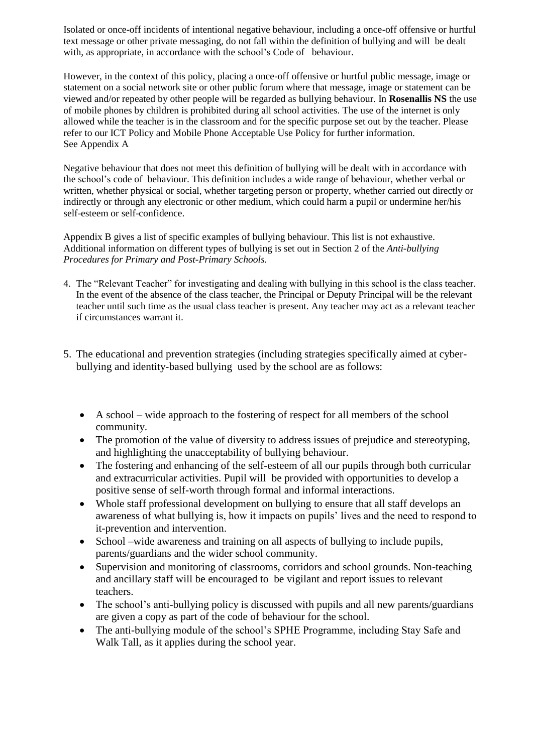Isolated or once-off incidents of intentional negative behaviour, including a once-off offensive or hurtful text message or other private messaging, do not fall within the definition of bullying and will be dealt with, as appropriate, in accordance with the school's Code of behaviour.

However, in the context of this policy, placing a once-off offensive or hurtful public message, image or statement on a social network site or other public forum where that message, image or statement can be viewed and/or repeated by other people will be regarded as bullying behaviour. In **Rosenallis NS** the use of mobile phones by children is prohibited during all school activities. The use of the internet is only allowed while the teacher is in the classroom and for the specific purpose set out by the teacher. Please refer to our ICT Policy and Mobile Phone Acceptable Use Policy for further information. See Appendix A

Negative behaviour that does not meet this definition of bullying will be dealt with in accordance with the school's code of behaviour. This definition includes a wide range of behaviour, whether verbal or written, whether physical or social, whether targeting person or property, whether carried out directly or indirectly or through any electronic or other medium, which could harm a pupil or undermine her/his self-esteem or self-confidence.

Appendix B gives a list of specific examples of bullying behaviour. This list is not exhaustive. Additional information on different types of bullying is set out in Section 2 of the *Anti-bullying Procedures for Primary and Post-Primary Schools.* 

- 4. The "Relevant Teacher" for investigating and dealing with bullying in this school is the class teacher. In the event of the absence of the class teacher, the Principal or Deputy Principal will be the relevant teacher until such time as the usual class teacher is present. Any teacher may act as a relevant teacher if circumstances warrant it.
- 5. The educational and prevention strategies (including strategies specifically aimed at cyberbullying and identity-based bullying used by the school are as follows:
	- A school wide approach to the fostering of respect for all members of the school community.
	- The promotion of the value of diversity to address issues of prejudice and stereotyping, and highlighting the unacceptability of bullying behaviour.
	- The fostering and enhancing of the self-esteem of all our pupils through both curricular and extracurricular activities. Pupil will be provided with opportunities to develop a positive sense of self-worth through formal and informal interactions.
	- Whole staff professional development on bullying to ensure that all staff develops an awareness of what bullying is, how it impacts on pupils' lives and the need to respond to it-prevention and intervention.
	- School –wide awareness and training on all aspects of bullying to include pupils, parents/guardians and the wider school community.
	- Supervision and monitoring of classrooms, corridors and school grounds. Non-teaching and ancillary staff will be encouraged to be vigilant and report issues to relevant teachers.
	- The school's anti-bullying policy is discussed with pupils and all new parents/guardians are given a copy as part of the code of behaviour for the school.
	- The anti-bullying module of the school's SPHE Programme, including Stay Safe and Walk Tall, as it applies during the school year.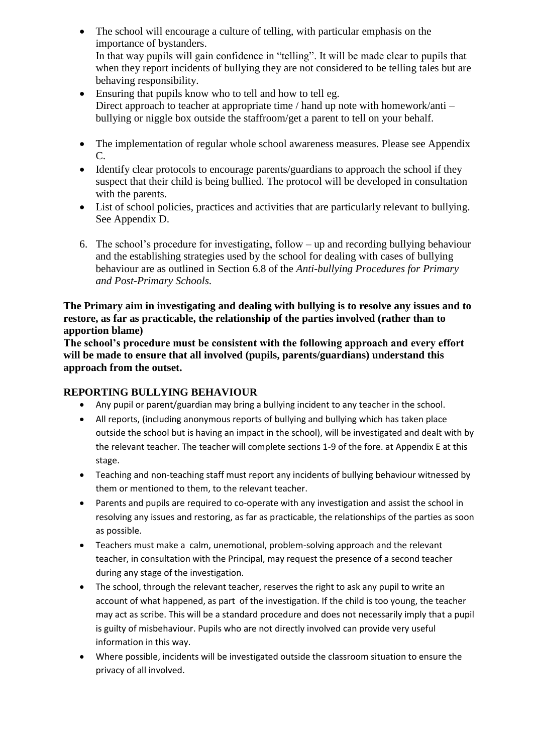- The school will encourage a culture of telling, with particular emphasis on the importance of bystanders. In that way pupils will gain confidence in "telling". It will be made clear to pupils that when they report incidents of bullying they are not considered to be telling tales but are behaving responsibility.
- Ensuring that pupils know who to tell and how to tell eg. Direct approach to teacher at appropriate time / hand up note with homework/anti – bullying or niggle box outside the staffroom/get a parent to tell on your behalf.
- The implementation of regular whole school awareness measures. Please see Appendix C.
- Identify clear protocols to encourage parents/guardians to approach the school if they suspect that their child is being bullied. The protocol will be developed in consultation with the parents.
- List of school policies, practices and activities that are particularly relevant to bullying. See Appendix D.
- 6. The school's procedure for investigating, follow up and recording bullying behaviour and the establishing strategies used by the school for dealing with cases of bullying behaviour are as outlined in Section 6.8 of the *Anti-bullying Procedures for Primary and Post-Primary Schools.*

**The Primary aim in investigating and dealing with bullying is to resolve any issues and to restore, as far as practicable, the relationship of the parties involved (rather than to apportion blame)** 

**The school's procedure must be consistent with the following approach and every effort will be made to ensure that all involved (pupils, parents/guardians) understand this approach from the outset.**

## **REPORTING BULLYING BEHAVIOUR**

- Any pupil or parent/guardian may bring a bullying incident to any teacher in the school.
- All reports, (including anonymous reports of bullying and bullying which has taken place outside the school but is having an impact in the school), will be investigated and dealt with by the relevant teacher. The teacher will complete sections 1-9 of the fore. at Appendix E at this stage.
- Teaching and non-teaching staff must report any incidents of bullying behaviour witnessed by them or mentioned to them, to the relevant teacher.
- Parents and pupils are required to co-operate with any investigation and assist the school in resolving any issues and restoring, as far as practicable, the relationships of the parties as soon as possible.
- Teachers must make a calm, unemotional, problem-solving approach and the relevant teacher, in consultation with the Principal, may request the presence of a second teacher during any stage of the investigation.
- The school, through the relevant teacher, reserves the right to ask any pupil to write an account of what happened, as part of the investigation. If the child is too young, the teacher may act as scribe. This will be a standard procedure and does not necessarily imply that a pupil is guilty of misbehaviour. Pupils who are not directly involved can provide very useful information in this way.
- Where possible, incidents will be investigated outside the classroom situation to ensure the privacy of all involved.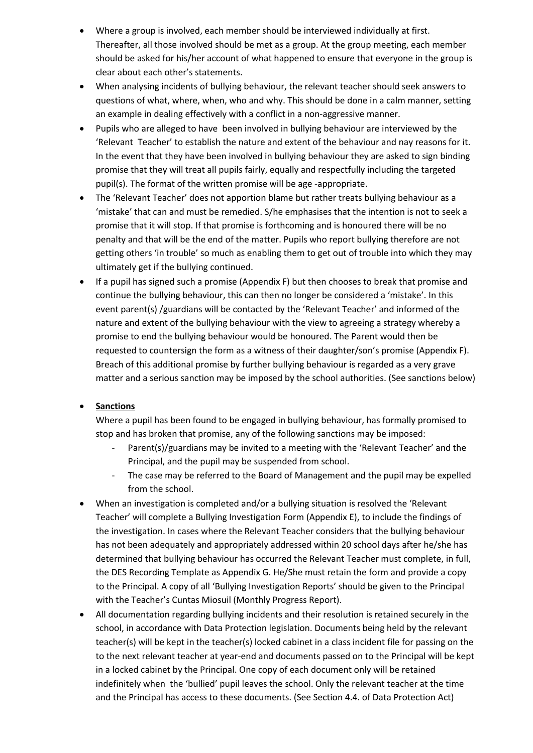- Where a group is involved, each member should be interviewed individually at first. Thereafter, all those involved should be met as a group. At the group meeting, each member should be asked for his/her account of what happened to ensure that everyone in the group is clear about each other's statements.
- When analysing incidents of bullying behaviour, the relevant teacher should seek answers to questions of what, where, when, who and why. This should be done in a calm manner, setting an example in dealing effectively with a conflict in a non-aggressive manner.
- Pupils who are alleged to have been involved in bullying behaviour are interviewed by the 'Relevant Teacher' to establish the nature and extent of the behaviour and nay reasons for it. In the event that they have been involved in bullying behaviour they are asked to sign binding promise that they will treat all pupils fairly, equally and respectfully including the targeted pupil(s). The format of the written promise will be age -appropriate.
- The 'Relevant Teacher' does not apportion blame but rather treats bullying behaviour as a 'mistake' that can and must be remedied. S/he emphasises that the intention is not to seek a promise that it will stop. If that promise is forthcoming and is honoured there will be no penalty and that will be the end of the matter. Pupils who report bullying therefore are not getting others 'in trouble' so much as enabling them to get out of trouble into which they may ultimately get if the bullying continued.
- If a pupil has signed such a promise (Appendix F) but then chooses to break that promise and continue the bullying behaviour, this can then no longer be considered a 'mistake'. In this event parent(s) /guardians will be contacted by the 'Relevant Teacher' and informed of the nature and extent of the bullying behaviour with the view to agreeing a strategy whereby a promise to end the bullying behaviour would be honoured. The Parent would then be requested to countersign the form as a witness of their daughter/son's promise (Appendix F). Breach of this additional promise by further bullying behaviour is regarded as a very grave matter and a serious sanction may be imposed by the school authorities. (See sanctions below)

## **•** Sanctions

Where a pupil has been found to be engaged in bullying behaviour, has formally promised to stop and has broken that promise, any of the following sanctions may be imposed:

- Parent(s)/guardians may be invited to a meeting with the 'Relevant Teacher' and the Principal, and the pupil may be suspended from school.
- The case may be referred to the Board of Management and the pupil may be expelled from the school.
- When an investigation is completed and/or a bullying situation is resolved the 'Relevant Teacher' will complete a Bullying Investigation Form (Appendix E), to include the findings of the investigation. In cases where the Relevant Teacher considers that the bullying behaviour has not been adequately and appropriately addressed within 20 school days after he/she has determined that bullying behaviour has occurred the Relevant Teacher must complete, in full, the DES Recording Template as Appendix G. He/She must retain the form and provide a copy to the Principal. A copy of all 'Bullying Investigation Reports' should be given to the Principal with the Teacher's Cuntas Miosuil (Monthly Progress Report).
- All documentation regarding bullying incidents and their resolution is retained securely in the school, in accordance with Data Protection legislation. Documents being held by the relevant teacher(s) will be kept in the teacher(s) locked cabinet in a class incident file for passing on the to the next relevant teacher at year-end and documents passed on to the Principal will be kept in a locked cabinet by the Principal. One copy of each document only will be retained indefinitely when the 'bullied' pupil leaves the school. Only the relevant teacher at the time and the Principal has access to these documents. (See Section 4.4. of Data Protection Act)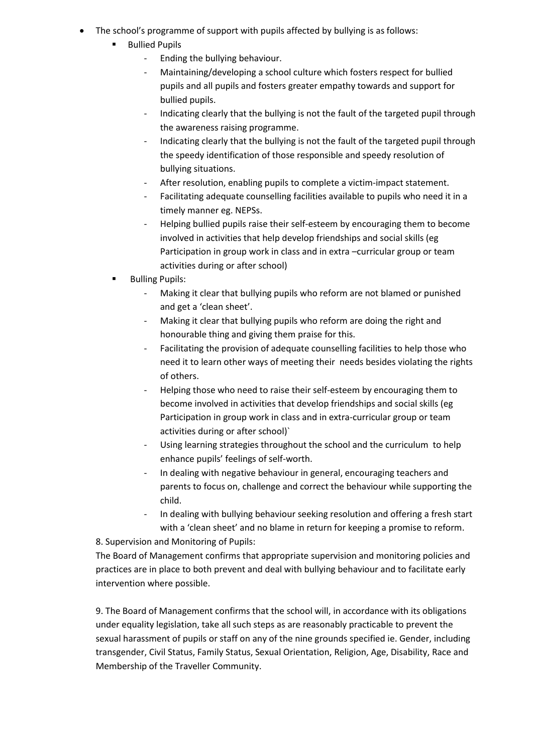- The school's programme of support with pupils affected by bullying is as follows:
	- Bullied Pupils
		- Ending the bullying behaviour.
		- Maintaining/developing a school culture which fosters respect for bullied pupils and all pupils and fosters greater empathy towards and support for bullied pupils.
		- Indicating clearly that the bullying is not the fault of the targeted pupil through the awareness raising programme.
		- Indicating clearly that the bullying is not the fault of the targeted pupil through the speedy identification of those responsible and speedy resolution of bullying situations.
		- After resolution, enabling pupils to complete a victim-impact statement.
		- Facilitating adequate counselling facilities available to pupils who need it in a timely manner eg. NEPSs.
		- Helping bullied pupils raise their self-esteem by encouraging them to become involved in activities that help develop friendships and social skills (eg Participation in group work in class and in extra –curricular group or team activities during or after school)
	- Bulling Pupils:
		- Making it clear that bullying pupils who reform are not blamed or punished and get a 'clean sheet'.
		- Making it clear that bullying pupils who reform are doing the right and honourable thing and giving them praise for this.
		- Facilitating the provision of adequate counselling facilities to help those who need it to learn other ways of meeting their needs besides violating the rights of others.
		- Helping those who need to raise their self-esteem by encouraging them to become involved in activities that develop friendships and social skills (eg Participation in group work in class and in extra-curricular group or team activities during or after school)`
		- Using learning strategies throughout the school and the curriculum to help enhance pupils' feelings of self-worth.
		- In dealing with negative behaviour in general, encouraging teachers and parents to focus on, challenge and correct the behaviour while supporting the child.
		- In dealing with bullying behaviour seeking resolution and offering a fresh start with a 'clean sheet' and no blame in return for keeping a promise to reform.

## 8. Supervision and Monitoring of Pupils:

The Board of Management confirms that appropriate supervision and monitoring policies and practices are in place to both prevent and deal with bullying behaviour and to facilitate early intervention where possible.

9. The Board of Management confirms that the school will, in accordance with its obligations under equality legislation, take all such steps as are reasonably practicable to prevent the sexual harassment of pupils or staff on any of the nine grounds specified ie. Gender, including transgender, Civil Status, Family Status, Sexual Orientation, Religion, Age, Disability, Race and Membership of the Traveller Community.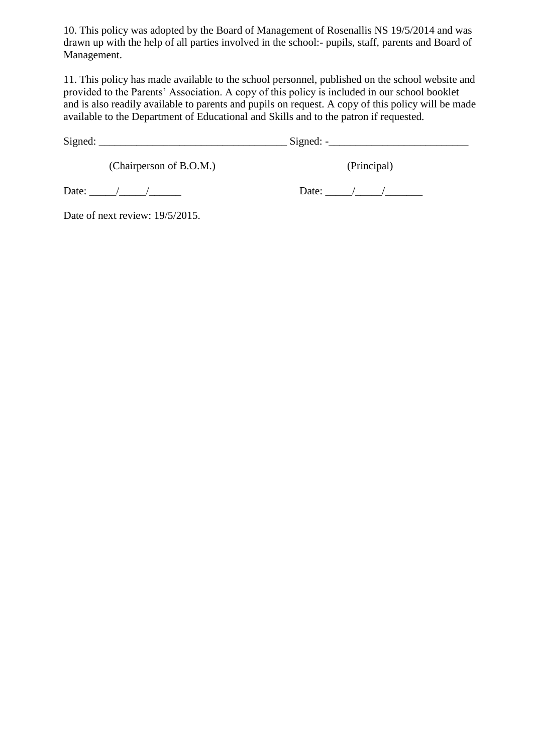10. This policy was adopted by the Board of Management of Rosenallis NS 19/5/2014 and was drawn up with the help of all parties involved in the school:- pupils, staff, parents and Board of Management.

11. This policy has made available to the school personnel, published on the school website and provided to the Parents' Association. A copy of this policy is included in our school booklet and is also readily available to parents and pupils on request. A copy of this policy will be made available to the Department of Educational and Skills and to the patron if requested.

| ມ |
|---|
|---|

(Chairperson of B.O.M.) (Principal)

Date:  $\Box$  /  $\Box$  Date:  $\Box$  /  $\Box$ 

Date of next review: 19/5/2015.